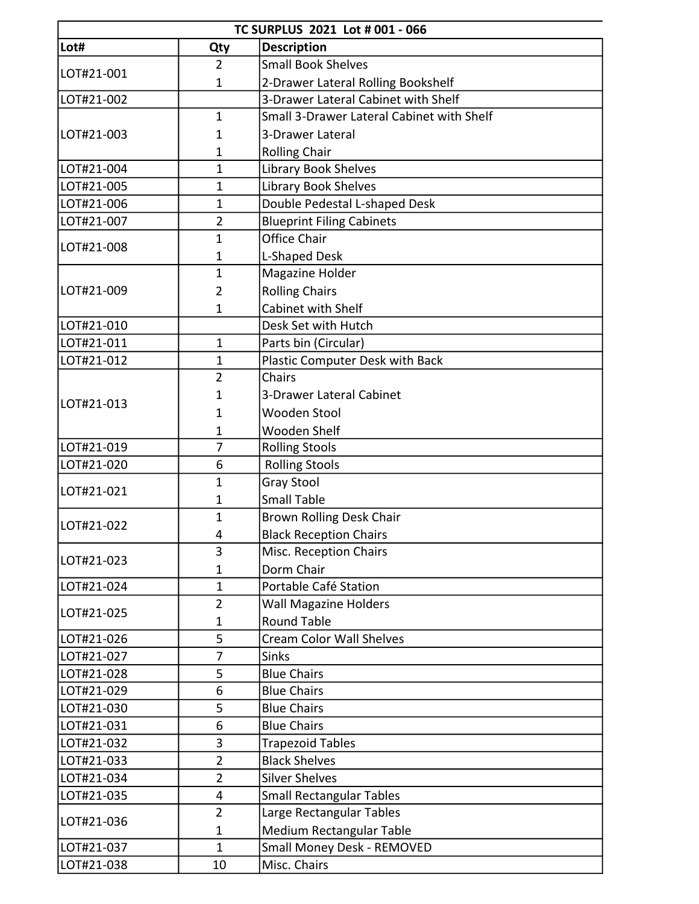| TC SURPLUS 2021 Lot # 001 - 066 |                |                                           |  |
|---------------------------------|----------------|-------------------------------------------|--|
| Lot#                            | Qty            | <b>Description</b>                        |  |
| LOT#21-001                      | $\overline{2}$ | <b>Small Book Shelves</b>                 |  |
|                                 | $\mathbf{1}$   | 2-Drawer Lateral Rolling Bookshelf        |  |
| LOT#21-002                      |                | 3-Drawer Lateral Cabinet with Shelf       |  |
| LOT#21-003                      | $\mathbf{1}$   | Small 3-Drawer Lateral Cabinet with Shelf |  |
|                                 | 1              | 3-Drawer Lateral                          |  |
|                                 | 1              | <b>Rolling Chair</b>                      |  |
| LOT#21-004                      | $\mathbf{1}$   | Library Book Shelves                      |  |
| LOT#21-005                      | $\mathbf{1}$   | <b>Library Book Shelves</b>               |  |
| LOT#21-006                      | 1              | Double Pedestal L-shaped Desk             |  |
| LOT#21-007                      | $\overline{2}$ | <b>Blueprint Filing Cabinets</b>          |  |
| LOT#21-008                      | $\mathbf 1$    | <b>Office Chair</b>                       |  |
|                                 | $\mathbf 1$    | L-Shaped Desk                             |  |
|                                 | $\mathbf 1$    | Magazine Holder                           |  |
| LOT#21-009                      | $\overline{2}$ | <b>Rolling Chairs</b>                     |  |
|                                 | 1              | Cabinet with Shelf                        |  |
| LOT#21-010                      |                | Desk Set with Hutch                       |  |
| LOT#21-011                      | $\mathbf{1}$   | Parts bin (Circular)                      |  |
| LOT#21-012                      | $\mathbf{1}$   | Plastic Computer Desk with Back           |  |
|                                 | $\overline{2}$ | Chairs                                    |  |
| LOT#21-013                      | 1              | 3-Drawer Lateral Cabinet                  |  |
|                                 | 1              | Wooden Stool                              |  |
|                                 | 1              | <b>Wooden Shelf</b>                       |  |
| LOT#21-019                      | 7              | <b>Rolling Stools</b>                     |  |
| LOT#21-020                      | 6              | <b>Rolling Stools</b>                     |  |
| LOT#21-021                      | $\mathbf{1}$   | <b>Gray Stool</b>                         |  |
|                                 | 1              | <b>Small Table</b>                        |  |
| LOT#21-022                      | $\mathbf{1}$   | Brown Rolling Desk Chair                  |  |
|                                 | 4              | <b>Black Reception Chairs</b>             |  |
| LOT#21-023                      | $\overline{3}$ | Misc. Reception Chairs                    |  |
|                                 | 1              | Dorm Chair                                |  |
| LOT#21-024                      | $\mathbf{1}$   | Portable Café Station                     |  |
| LOT#21-025                      | $\overline{2}$ | <b>Wall Magazine Holders</b>              |  |
|                                 | $\mathbf 1$    | <b>Round Table</b>                        |  |
| LOT#21-026                      | 5              | <b>Cream Color Wall Shelves</b>           |  |
| LOT#21-027                      | 7              | <b>Sinks</b>                              |  |
| LOT#21-028                      | 5              | <b>Blue Chairs</b>                        |  |
| LOT#21-029                      | 6              | <b>Blue Chairs</b>                        |  |
| LOT#21-030                      | 5              | <b>Blue Chairs</b>                        |  |
| LOT#21-031                      | 6              | <b>Blue Chairs</b>                        |  |
| LOT#21-032                      | $\mathbf{3}$   | <b>Trapezoid Tables</b>                   |  |
| LOT#21-033                      | $\overline{2}$ | <b>Black Shelves</b>                      |  |
| LOT#21-034                      | $\overline{2}$ | <b>Silver Shelves</b>                     |  |
| LOT#21-035                      | 4              | <b>Small Rectangular Tables</b>           |  |
| LOT#21-036                      | $\overline{2}$ | Large Rectangular Tables                  |  |
|                                 | 1              | Medium Rectangular Table                  |  |
| LOT#21-037                      | $\mathbf{1}$   | Small Money Desk - REMOVED                |  |
| LOT#21-038                      | 10             | Misc. Chairs                              |  |